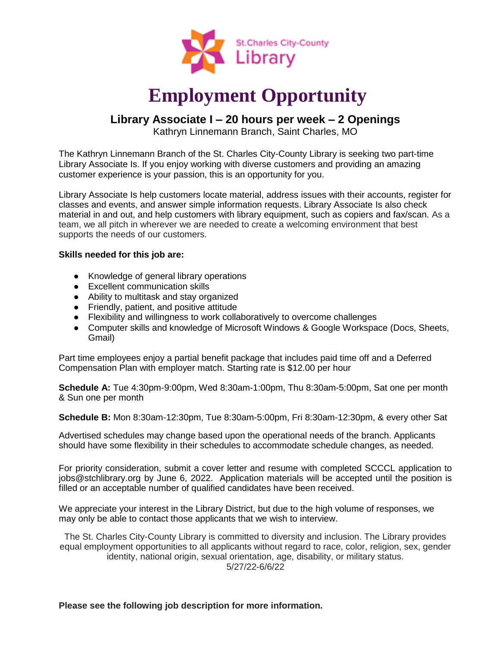

# **Employment Opportunity**

# **Library Associate I – 20 hours per week – 2 Openings**

Kathryn Linnemann Branch, Saint Charles, MO

The Kathryn Linnemann Branch of the St. Charles City-County Library is seeking two part-time Library Associate Is. If you enjoy working with diverse customers and providing an amazing customer experience is your passion, this is an opportunity for you.

Library Associate Is help customers locate material, address issues with their accounts, register for classes and events, and answer simple information requests. Library Associate Is also check material in and out, and help customers with library equipment, such as copiers and fax/scan. As a team, we all pitch in wherever we are needed to create a welcoming environment that best supports the needs of our customers.

## **Skills needed for this job are:**

- Knowledge of general library operations
- Excellent communication skills
- Ability to multitask and stay organized
- Friendly, patient, and positive attitude
- Flexibility and willingness to work collaboratively to overcome challenges
- Computer skills and knowledge of Microsoft Windows & Google Workspace (Docs, Sheets, Gmail)

Part time employees enjoy a partial benefit package that includes paid time off and a Deferred Compensation Plan with employer match. Starting rate is \$12.00 per hour

**Schedule A:** Tue 4:30pm-9:00pm, Wed 8:30am-1:00pm, Thu 8:30am-5:00pm, Sat one per month & Sun one per month

**Schedule B:** Mon 8:30am-12:30pm, Tue 8:30am-5:00pm, Fri 8:30am-12:30pm, & every other Sat

Advertised schedules may change based upon the operational needs of the branch. Applicants should have some flexibility in their schedules to accommodate schedule changes, as needed.

For priority consideration, submit a cover letter and resume with completed SCCCL application to jobs@stchlibrary.org by June 6, 2022. Application materials will be accepted until the position is filled or an acceptable number of qualified candidates have been received.

We appreciate your interest in the Library District, but due to the high volume of responses, we may only be able to contact those applicants that we wish to interview.

The St. Charles City-County Library is committed to diversity and inclusion. The Library provides equal employment opportunities to all applicants without regard to race, color, religion, sex, gender identity, national origin, sexual orientation, age, disability, or military status. 5/27/22-6/6/22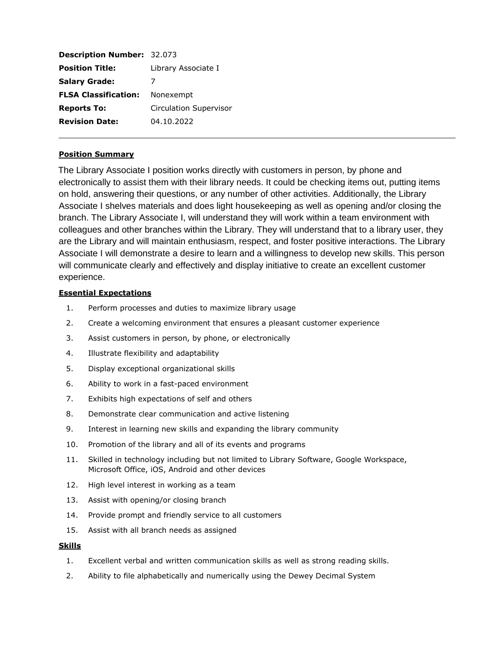| <b>Description Number: 32.073</b>     |
|---------------------------------------|
| Library Associate I                   |
|                                       |
| <b>FLSA Classification:</b> Nonexempt |
| <b>Circulation Supervisor</b>         |
| 04.10.2022                            |
|                                       |

### **Position Summary**

The Library Associate I position works directly with customers in person, by phone and electronically to assist them with their library needs. It could be checking items out, putting items on hold, answering their questions, or any number of other activities. Additionally, the Library Associate I shelves materials and does light housekeeping as well as opening and/or closing the branch. The Library Associate I, will understand they will work within a team environment with colleagues and other branches within the Library. They will understand that to a library user, they are the Library and will maintain enthusiasm, respect, and foster positive interactions. The Library Associate I will demonstrate a desire to learn and a willingness to develop new skills. This person will communicate clearly and effectively and display initiative to create an excellent customer experience.

#### **Essential Expectations**

- 1. Perform processes and duties to maximize library usage
- 2. Create a welcoming environment that ensures a pleasant customer experience
- 3. Assist customers in person, by phone, or electronically
- 4. Illustrate flexibility and adaptability
- 5. Display exceptional organizational skills
- 6. Ability to work in a fast-paced environment
- 7. Exhibits high expectations of self and others
- 8. Demonstrate clear communication and active listening
- 9. Interest in learning new skills and expanding the library community
- 10. Promotion of the library and all of its events and programs
- 11. Skilled in technology including but not limited to Library Software, Google Workspace, Microsoft Office, iOS, Android and other devices
- 12. High level interest in working as a team
- 13. Assist with opening/or closing branch
- 14. Provide prompt and friendly service to all customers
- 15. Assist with all branch needs as assigned

#### **Skills**

- 1. Excellent verbal and written communication skills as well as strong reading skills.
- 2. Ability to file alphabetically and numerically using the Dewey Decimal System